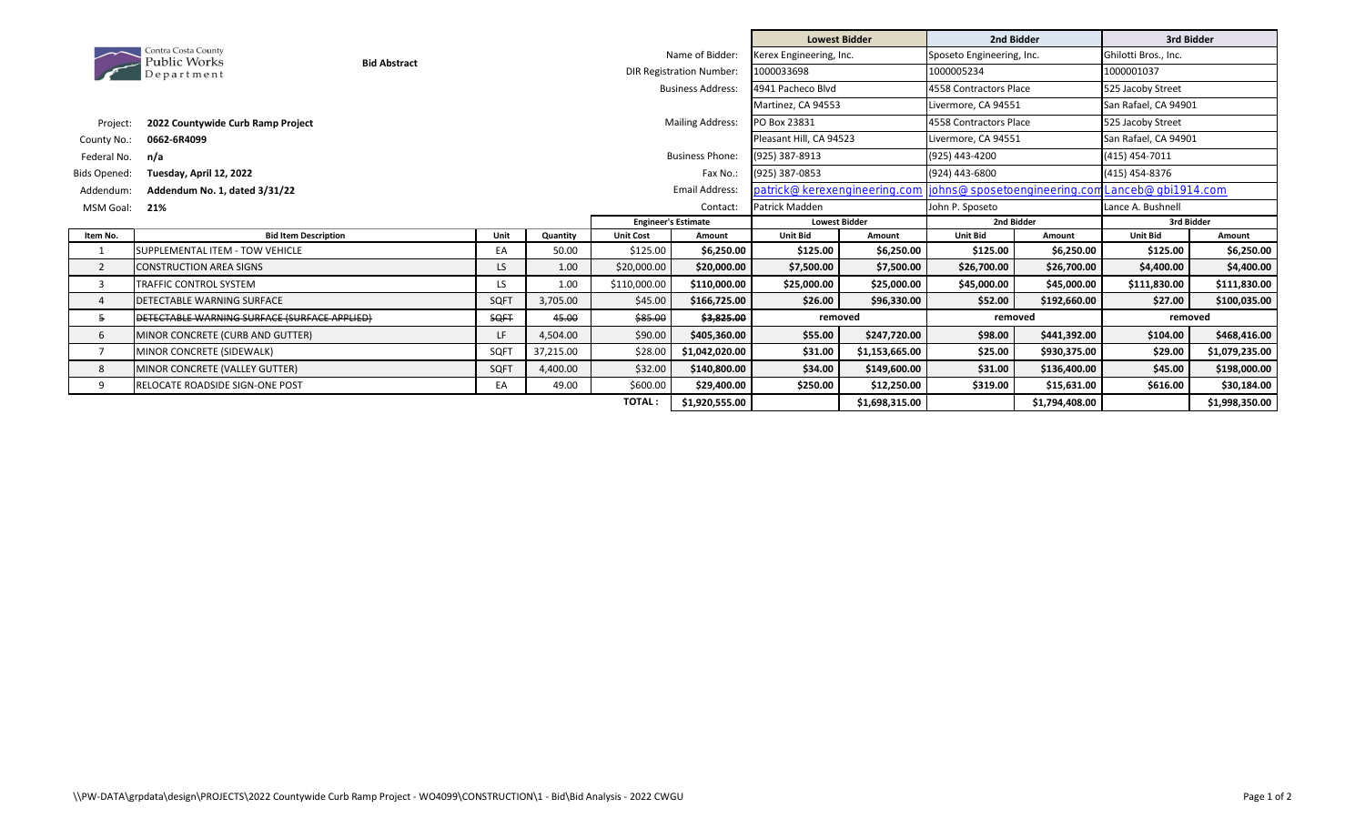|                |                                              |                         |                                 |                  |                            | <b>Lowest Bidder</b>         |                        | 2nd Bidder                  |                   | 3rd Bidder           |                |
|----------------|----------------------------------------------|-------------------------|---------------------------------|------------------|----------------------------|------------------------------|------------------------|-----------------------------|-------------------|----------------------|----------------|
|                | Contra Costa County<br>Public Works          | <b>Bid Abstract</b>     | Name of Bidder:                 |                  |                            | Kerex Engineering, Inc.      |                        | Sposeto Engineering, Inc.   |                   | Ghilotti Bros., Inc. |                |
|                | Department                                   |                         | <b>DIR Registration Number:</b> |                  | 1000033698                 |                              | 1000005234             |                             | 1000001037        |                      |                |
|                |                                              |                         |                                 |                  | <b>Business Address:</b>   | 4941 Pacheco Blvd            |                        | 4558 Contractors Place      |                   | 525 Jacoby Street    |                |
|                |                                              |                         |                                 |                  |                            | Martinez, CA 94553           |                        | Livermore, CA 94551         |                   | San Rafael, CA 94901 |                |
| Project:       | 2022 Countywide Curb Ramp Project            | <b>Mailing Address:</b> |                                 |                  | PO Box 23831               |                              | 4558 Contractors Place |                             | 525 Jacoby Street |                      |                |
| County No.:    | 0662-6R4099                                  |                         |                                 |                  |                            | Pleasant Hill, CA 94523      |                        | Livermore, CA 94551         |                   | San Rafael, CA 94901 |                |
| Federal No.    | n/a                                          |                         |                                 |                  | <b>Business Phone:</b>     | (925) 387-8913               |                        | (925) 443-4200              |                   | (415) 454-7011       |                |
| Bids Opened:   | Tuesday, April 12, 2022                      |                         |                                 |                  | Fax No.:                   | (925) 387-0853               |                        | (924) 443-6800              |                   | (415) 454-8376       |                |
| Addendum:      | Addendum No. 1, dated 3/31/22                |                         |                                 |                  | <b>Email Address:</b>      | patrick@kerexengineering.com |                        | johns@sposetoengineering.co |                   | Lanceb@gbi1914.com   |                |
| MSM Goal:      | 21%                                          |                         |                                 | Contact:         |                            | Patrick Madden               |                        | John P. Sposeto             |                   | Lance A. Bushnell    |                |
|                |                                              |                         |                                 |                  | <b>Engineer's Estimate</b> | <b>Lowest Bidder</b>         |                        | 2nd Bidder                  |                   | 3rd Bidder           |                |
| Item No.       | <b>Bid Item Description</b>                  | Unit                    | Quantity                        | <b>Unit Cost</b> | Amount                     | <b>Unit Bid</b>              | Amount                 | <b>Unit Bid</b>             | Amount            | <b>Unit Bid</b>      | Amount         |
|                | SUPPLEMENTAL ITEM - TOW VEHICLE              | EA                      | 50.00                           | \$125.00         | \$6,250.00                 | \$125.00                     | \$6,250.00             | \$125.00                    | \$6,250.00        | \$125.00             | \$6,250.00     |
| $\overline{2}$ | <b>CONSTRUCTION AREA SIGNS</b>               | LS.                     | 1.00                            | \$20,000.00      | \$20,000.00                | \$7,500.00                   | \$7,500.00             | \$26,700.00                 | \$26,700.00       | \$4,400.00           | \$4,400.00     |
| 3              | <b>TRAFFIC CONTROL SYSTEM</b>                | LS.                     | 1.00                            | \$110,000.00     | \$110,000.00               | \$25,000.00                  | \$25,000.00            | \$45,000.00                 | \$45,000.00       | \$111,830.00         | \$111,830.00   |
| $\Delta$       | DETECTABLE WARNING SURFACE                   | SOFT                    | 3,705.00                        | \$45.00          | \$166,725.00               | \$26.00                      | \$96,330.00            | \$52.00                     | \$192,660.00      | \$27.00              | \$100,035.00   |
| 5              | DETECTABLE WARNING SURFACE (SURFACE APPLIED) | <b>SQFT</b>             | 45.00                           | \$85.00          | \$3,825.00                 | removed                      |                        | removed                     |                   | removed              |                |
| 6              | MINOR CONCRETE (CURB AND GUTTER)             | LF                      | 4,504.00                        | \$90.00          | \$405,360.00               | \$55.00                      | \$247,720.00           | \$98.00                     | \$441,392.00      | \$104.00             | \$468,416.00   |
|                | MINOR CONCRETE (SIDEWALK)                    | SQFT                    | 37,215.00                       | \$28.00          | \$1,042,020.00             | \$31.00                      | \$1,153,665.00         | \$25.00                     | \$930,375.00      | \$29.00              | \$1,079,235.00 |
| 8              | MINOR CONCRETE (VALLEY GUTTER)               | SQFT                    | 4,400.00                        | \$32.00          | \$140,800.00               | \$34.00                      | \$149,600.00           | \$31.00                     | \$136,400.00      | \$45.00              | \$198,000.00   |
| 9              | <b>RELOCATE ROADSIDE SIGN-ONE POST</b>       | EA                      | 49.00                           | \$600.00         | \$29,400.00                | \$250.00                     | \$12,250.00            | \$319.00                    | \$15,631.00       | \$616.00             | \$30,184.00    |
|                |                                              |                         |                                 | <b>TOTAL:</b>    | \$1,920,555.00             |                              | \$1,698,315.00         |                             | \$1,794,408.00    |                      | \$1,998,350.00 |